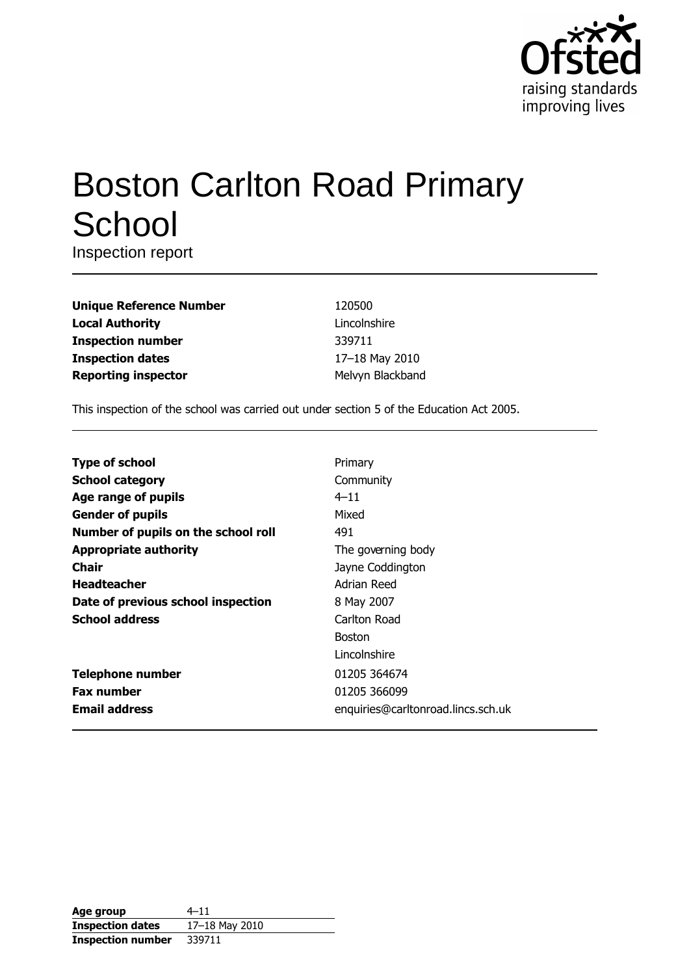

# **Boston Carlton Road Primary** School

Inspection report

| <b>Unique Reference Number</b> |
|--------------------------------|
| <b>Local Authority</b>         |
| <b>Inspection number</b>       |
| <b>Inspection dates</b>        |
| <b>Reporting inspector</b>     |

120500 Lincolnshire 339711 17-18 May 2010 Melvyn Blackband

This inspection of the school was carried out under section 5 of the Education Act 2005.

| <b>Type of school</b>               | Primary                            |
|-------------------------------------|------------------------------------|
| <b>School category</b>              | Community                          |
| Age range of pupils                 | $4 - 11$                           |
| <b>Gender of pupils</b>             | Mixed                              |
| Number of pupils on the school roll | 491                                |
| <b>Appropriate authority</b>        | The governing body                 |
| Chair                               | Jayne Coddington                   |
| <b>Headteacher</b>                  | Adrian Reed                        |
| Date of previous school inspection  | 8 May 2007                         |
| <b>School address</b>               | Carlton Road                       |
|                                     | <b>Boston</b>                      |
|                                     | Lincolnshire                       |
| <b>Telephone number</b>             | 01205 364674                       |
| <b>Fax number</b>                   | 01205 366099                       |
| <b>Email address</b>                | enquiries@carltonroad.lincs.sch.uk |

| Age group                | $4 - 11$       |
|--------------------------|----------------|
| <b>Inspection dates</b>  | 17-18 May 2010 |
| <b>Inspection number</b> | 339711         |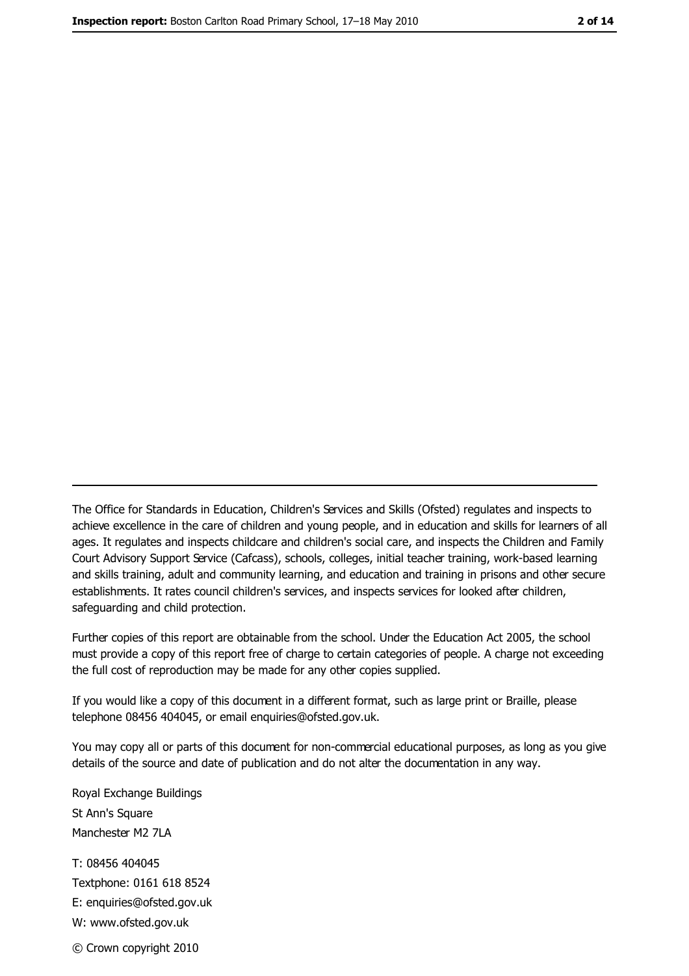The Office for Standards in Education, Children's Services and Skills (Ofsted) regulates and inspects to achieve excellence in the care of children and young people, and in education and skills for learners of all ages. It regulates and inspects childcare and children's social care, and inspects the Children and Family Court Advisory Support Service (Cafcass), schools, colleges, initial teacher training, work-based learning and skills training, adult and community learning, and education and training in prisons and other secure establishments. It rates council children's services, and inspects services for looked after children, safequarding and child protection.

Further copies of this report are obtainable from the school. Under the Education Act 2005, the school must provide a copy of this report free of charge to certain categories of people. A charge not exceeding the full cost of reproduction may be made for any other copies supplied.

If you would like a copy of this document in a different format, such as large print or Braille, please telephone 08456 404045, or email enquiries@ofsted.gov.uk.

You may copy all or parts of this document for non-commercial educational purposes, as long as you give details of the source and date of publication and do not alter the documentation in any way.

Royal Exchange Buildings St Ann's Square Manchester M2 7LA T: 08456 404045 Textphone: 0161 618 8524 E: enquiries@ofsted.gov.uk W: www.ofsted.gov.uk © Crown copyright 2010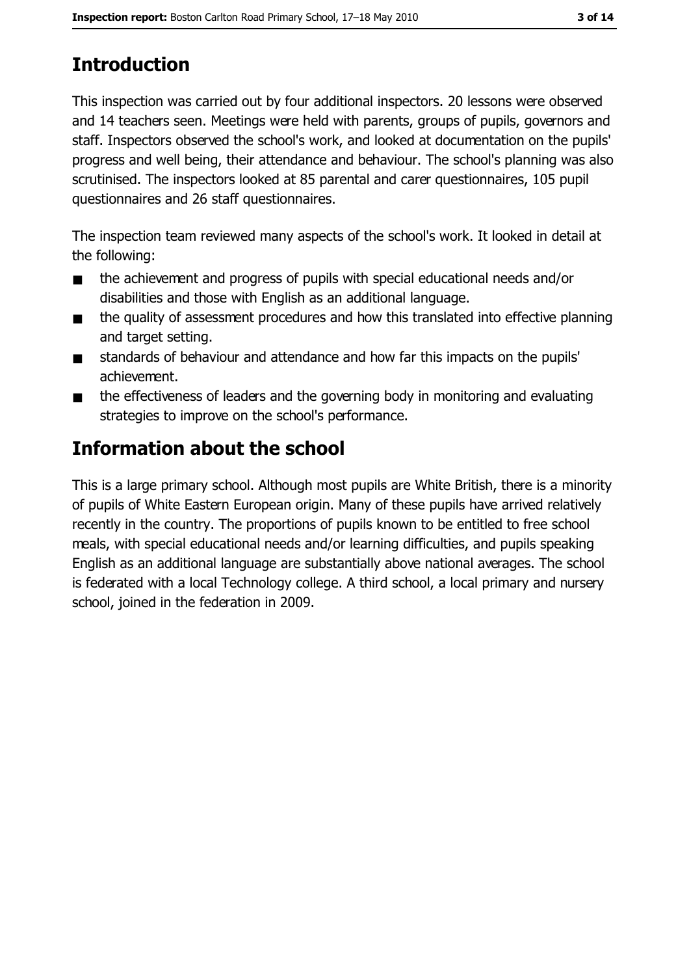# **Introduction**

This inspection was carried out by four additional inspectors. 20 lessons were observed and 14 teachers seen. Meetings were held with parents, groups of pupils, governors and staff. Inspectors observed the school's work, and looked at documentation on the pupils' progress and well being, their attendance and behaviour. The school's planning was also scrutinised. The inspectors looked at 85 parental and carer questionnaires, 105 pupil questionnaires and 26 staff questionnaires.

The inspection team reviewed many aspects of the school's work. It looked in detail at the following:

- the achievement and progress of pupils with special educational needs and/or  $\blacksquare$ disabilities and those with English as an additional language.
- the quality of assessment procedures and how this translated into effective planning  $\blacksquare$ and target setting.
- standards of behaviour and attendance and how far this impacts on the pupils'  $\blacksquare$ achievement.
- the effectiveness of leaders and the governing body in monitoring and evaluating  $\blacksquare$ strategies to improve on the school's performance.

## **Information about the school**

This is a large primary school. Although most pupils are White British, there is a minority of pupils of White Eastern European origin. Many of these pupils have arrived relatively recently in the country. The proportions of pupils known to be entitled to free school meals, with special educational needs and/or learning difficulties, and pupils speaking English as an additional language are substantially above national averages. The school is federated with a local Technology college. A third school, a local primary and nursery school, joined in the federation in 2009.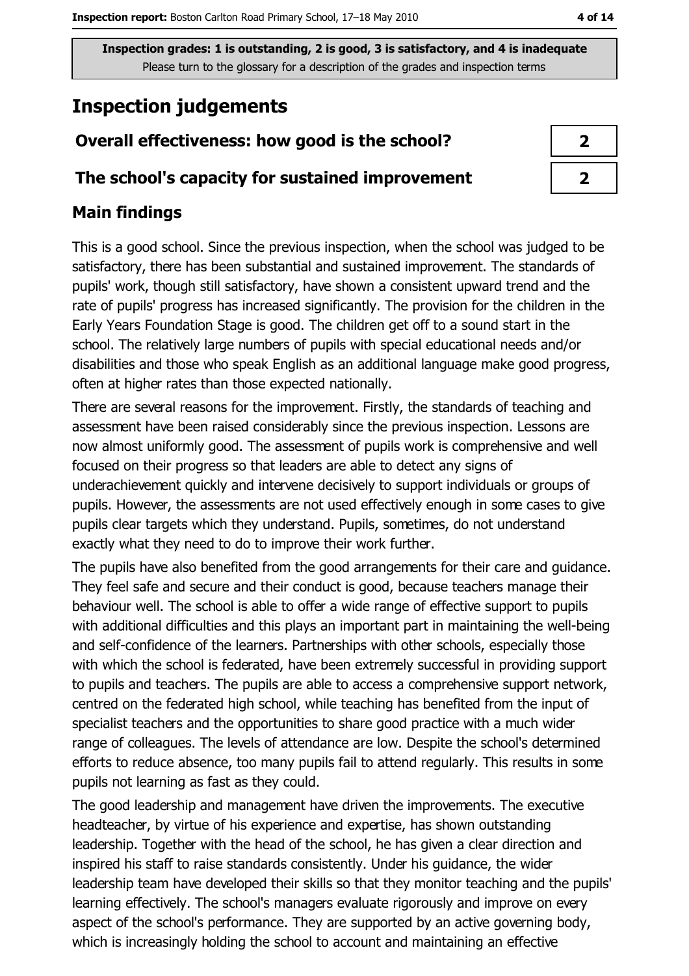## **Inspection judgements**

## Overall effectiveness: how good is the school?

#### The school's capacity for sustained improvement

### **Main findings**

This is a good school. Since the previous inspection, when the school was judged to be satisfactory, there has been substantial and sustained improvement. The standards of pupils' work, though still satisfactory, have shown a consistent upward trend and the rate of pupils' progress has increased significantly. The provision for the children in the Early Years Foundation Stage is good. The children get off to a sound start in the school. The relatively large numbers of pupils with special educational needs and/or disabilities and those who speak English as an additional language make good progress, often at higher rates than those expected nationally.

There are several reasons for the improvement. Firstly, the standards of teaching and assessment have been raised considerably since the previous inspection. Lessons are now almost uniformly good. The assessment of pupils work is comprehensive and well focused on their progress so that leaders are able to detect any signs of underachievement quickly and intervene decisively to support individuals or groups of pupils. However, the assessments are not used effectively enough in some cases to give pupils clear targets which they understand. Pupils, sometimes, do not understand exactly what they need to do to improve their work further.

The pupils have also benefited from the good arrangements for their care and quidance. They feel safe and secure and their conduct is good, because teachers manage their behaviour well. The school is able to offer a wide range of effective support to pupils with additional difficulties and this plays an important part in maintaining the well-being and self-confidence of the learners. Partnerships with other schools, especially those with which the school is federated, have been extremely successful in providing support to pupils and teachers. The pupils are able to access a comprehensive support network, centred on the federated high school, while teaching has benefited from the input of specialist teachers and the opportunities to share good practice with a much wider range of colleagues. The levels of attendance are low. Despite the school's determined efforts to reduce absence, too many pupils fail to attend regularly. This results in some pupils not learning as fast as they could.

The good leadership and management have driven the improvements. The executive headteacher, by virtue of his experience and expertise, has shown outstanding leadership. Together with the head of the school, he has given a clear direction and inspired his staff to raise standards consistently. Under his quidance, the wider leadership team have developed their skills so that they monitor teaching and the pupils' learning effectively. The school's managers evaluate rigorously and improve on every aspect of the school's performance. They are supported by an active governing body, which is increasingly holding the school to account and maintaining an effective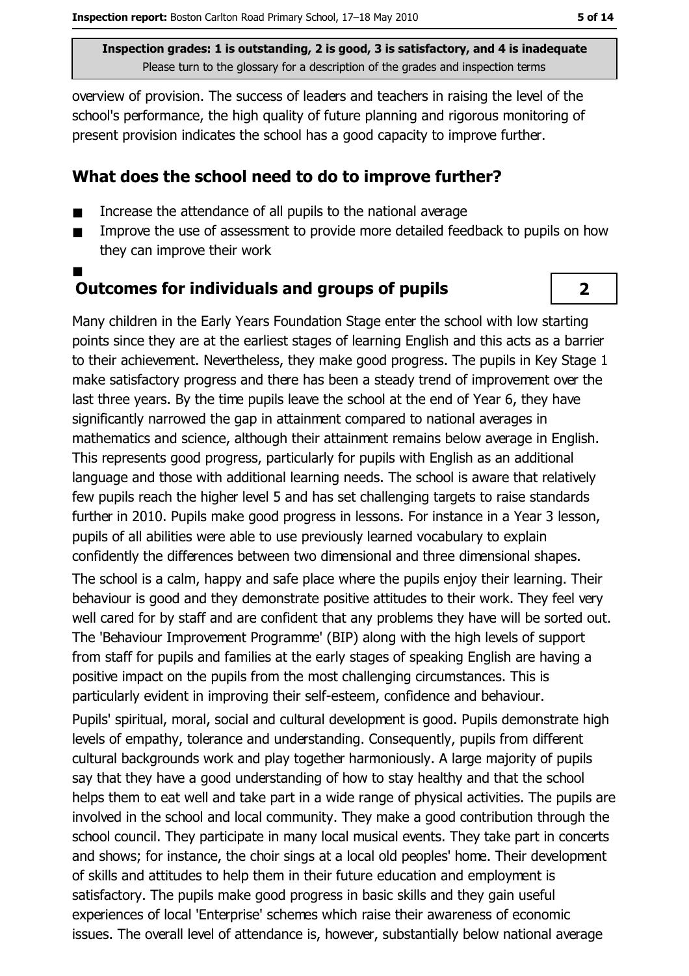overview of provision. The success of leaders and teachers in raising the level of the school's performance, the high quality of future planning and rigorous monitoring of present provision indicates the school has a good capacity to improve further.

#### What does the school need to do to improve further?

- Increase the attendance of all pupils to the national average  $\blacksquare$
- Improve the use of assessment to provide more detailed feedback to pupils on how  $\blacksquare$ they can improve their work
- 

## Outcomes for individuals and groups of pupils

Many children in the Early Years Foundation Stage enter the school with low starting points since they are at the earliest stages of learning English and this acts as a barrier to their achievement. Nevertheless, they make good progress. The pupils in Key Stage 1 make satisfactory progress and there has been a steady trend of improvement over the last three vears. By the time pupils leave the school at the end of Year 6, they have significantly narrowed the gap in attainment compared to national averages in mathematics and science, although their attainment remains below average in English. This represents good progress, particularly for pupils with English as an additional language and those with additional learning needs. The school is aware that relatively few pupils reach the higher level 5 and has set challenging targets to raise standards further in 2010. Pupils make good progress in lessons. For instance in a Year 3 lesson, pupils of all abilities were able to use previously learned vocabulary to explain confidently the differences between two dimensional and three dimensional shapes.

The school is a calm, happy and safe place where the pupils enjoy their learning. Their behaviour is good and they demonstrate positive attitudes to their work. They feel very well cared for by staff and are confident that any problems they have will be sorted out. The 'Behaviour Improvement Programme' (BIP) along with the high levels of support from staff for pupils and families at the early stages of speaking English are having a positive impact on the pupils from the most challenging circumstances. This is particularly evident in improving their self-esteem, confidence and behaviour. Pupils' spiritual, moral, social and cultural development is good. Pupils demonstrate high levels of empathy, tolerance and understanding. Consequently, pupils from different cultural backgrounds work and play together harmoniously. A large majority of pupils

say that they have a good understanding of how to stay healthy and that the school helps them to eat well and take part in a wide range of physical activities. The pupils are involved in the school and local community. They make a good contribution through the school council. They participate in many local musical events. They take part in concerts and shows; for instance, the choir sings at a local old peoples' home. Their development of skills and attitudes to help them in their future education and employment is satisfactory. The pupils make good progress in basic skills and they gain useful experiences of local 'Enterprise' schemes which raise their awareness of economic issues. The overall level of attendance is, however, substantially below national average

 $\overline{2}$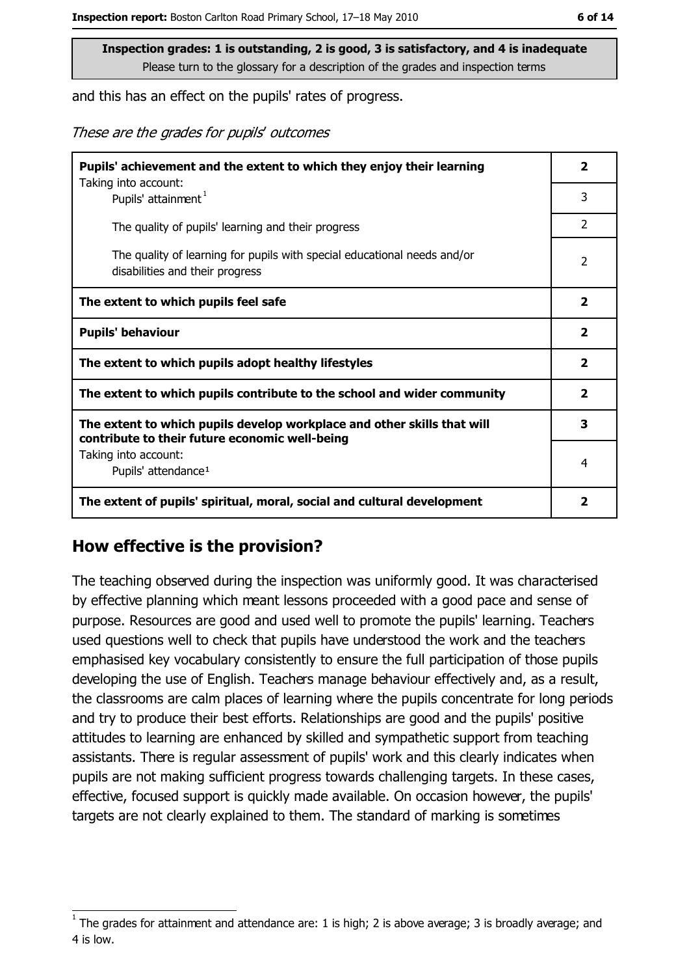and this has an effect on the pupils' rates of progress.

These are the grades for pupils' outcomes

| Pupils' achievement and the extent to which they enjoy their learning                                                     |                         |
|---------------------------------------------------------------------------------------------------------------------------|-------------------------|
| Taking into account:<br>Pupils' attainment <sup>1</sup>                                                                   | 3                       |
| The quality of pupils' learning and their progress                                                                        | $\overline{2}$          |
| The quality of learning for pupils with special educational needs and/or<br>disabilities and their progress               | 2                       |
| The extent to which pupils feel safe                                                                                      | $\overline{2}$          |
| <b>Pupils' behaviour</b>                                                                                                  | $\overline{\mathbf{2}}$ |
| The extent to which pupils adopt healthy lifestyles                                                                       | $\overline{\mathbf{2}}$ |
| The extent to which pupils contribute to the school and wider community                                                   |                         |
| The extent to which pupils develop workplace and other skills that will<br>contribute to their future economic well-being | 3                       |
| Taking into account:<br>Pupils' attendance <sup>1</sup>                                                                   | 4                       |
| The extent of pupils' spiritual, moral, social and cultural development                                                   | $\overline{\mathbf{2}}$ |

#### How effective is the provision?

The teaching observed during the inspection was uniformly good. It was characterised by effective planning which meant lessons proceeded with a good pace and sense of purpose. Resources are good and used well to promote the pupils' learning. Teachers used questions well to check that pupils have understood the work and the teachers emphasised key vocabulary consistently to ensure the full participation of those pupils developing the use of English. Teachers manage behaviour effectively and, as a result, the classrooms are calm places of learning where the pupils concentrate for long periods and try to produce their best efforts. Relationships are good and the pupils' positive attitudes to learning are enhanced by skilled and sympathetic support from teaching assistants. There is regular assessment of pupils' work and this clearly indicates when pupils are not making sufficient progress towards challenging targets. In these cases, effective, focused support is quickly made available. On occasion however, the pupils' targets are not clearly explained to them. The standard of marking is sometimes

The grades for attainment and attendance are: 1 is high; 2 is above average; 3 is broadly average; and 4 is low.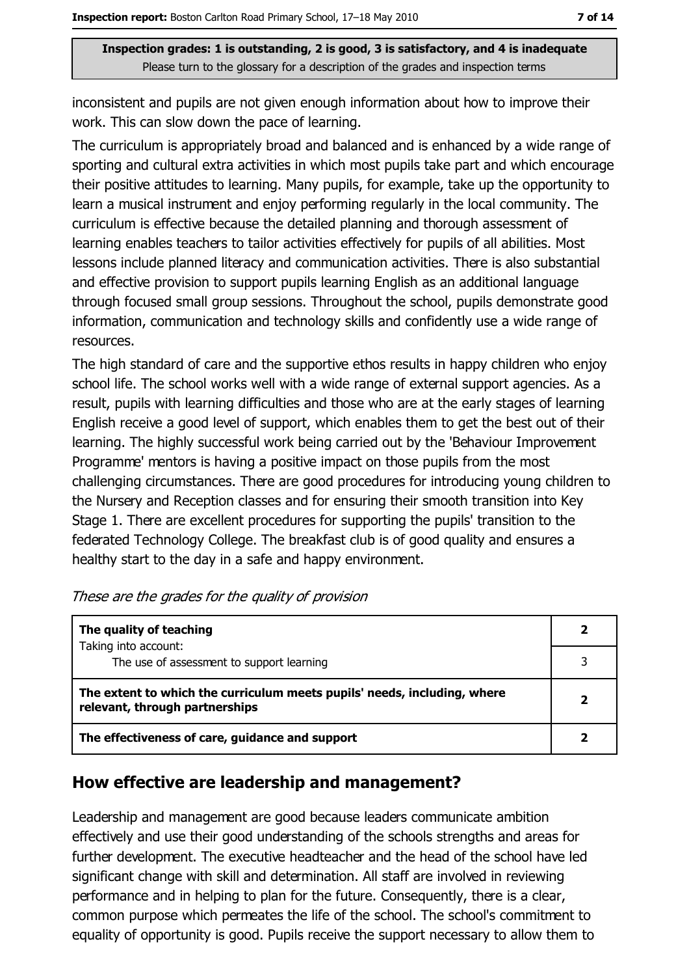inconsistent and pupils are not given enough information about how to improve their work. This can slow down the pace of learning.

The curriculum is appropriately broad and balanced and is enhanced by a wide range of sporting and cultural extra activities in which most pupils take part and which encourage their positive attitudes to learning. Many pupils, for example, take up the opportunity to learn a musical instrument and enjoy performing regularly in the local community. The curriculum is effective because the detailed planning and thorough assessment of learning enables teachers to tailor activities effectively for pupils of all abilities. Most lessons include planned literacy and communication activities. There is also substantial and effective provision to support pupils learning English as an additional language through focused small group sessions. Throughout the school, pupils demonstrate good information, communication and technology skills and confidently use a wide range of resources.

The high standard of care and the supportive ethos results in happy children who enjoy school life. The school works well with a wide range of external support agencies. As a result, pupils with learning difficulties and those who are at the early stages of learning English receive a good level of support, which enables them to get the best out of their learning. The highly successful work being carried out by the 'Behaviour Improvement Programme' mentors is having a positive impact on those pupils from the most challenging circumstances. There are good procedures for introducing young children to the Nursery and Reception classes and for ensuring their smooth transition into Key Stage 1. There are excellent procedures for supporting the pupils' transition to the federated Technology College. The breakfast club is of good quality and ensures a healthy start to the day in a safe and happy environment.

| The quality of teaching                                                                                    |  |
|------------------------------------------------------------------------------------------------------------|--|
| Taking into account:<br>The use of assessment to support learning                                          |  |
| The extent to which the curriculum meets pupils' needs, including, where<br>relevant, through partnerships |  |
| The effectiveness of care, guidance and support                                                            |  |

These are the grades for the quality of provision

#### How effective are leadership and management?

Leadership and management are good because leaders communicate ambition effectively and use their good understanding of the schools strengths and areas for further development. The executive headteacher and the head of the school have led significant change with skill and determination. All staff are involved in reviewing performance and in helping to plan for the future. Consequently, there is a clear, common purpose which permeates the life of the school. The school's commitment to equality of opportunity is good. Pupils receive the support necessary to allow them to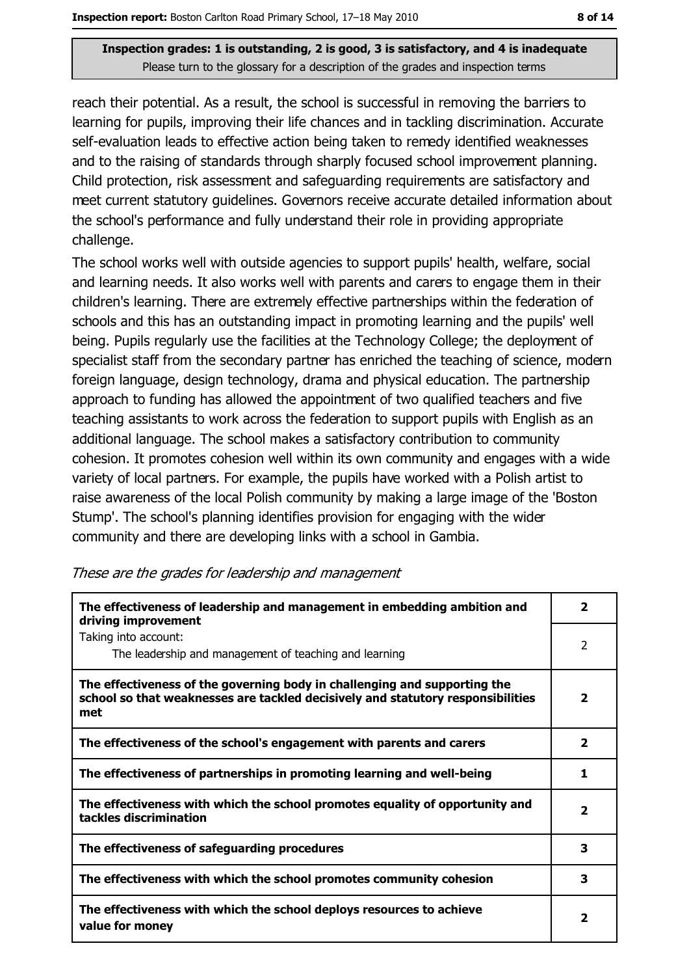reach their potential. As a result, the school is successful in removing the barriers to learning for pupils, improving their life chances and in tackling discrimination. Accurate self-evaluation leads to effective action being taken to remedy identified weaknesses and to the raising of standards through sharply focused school improvement planning. Child protection, risk assessment and safeguarding requirements are satisfactory and meet current statutory quidelines. Governors receive accurate detailed information about the school's performance and fully understand their role in providing appropriate challenge.

The school works well with outside agencies to support pupils' health, welfare, social and learning needs. It also works well with parents and carers to engage them in their children's learning. There are extremely effective partnerships within the federation of schools and this has an outstanding impact in promoting learning and the pupils' well being. Pupils regularly use the facilities at the Technology College; the deployment of specialist staff from the secondary partner has enriched the teaching of science, modern foreign language, design technology, drama and physical education. The partnership approach to funding has allowed the appointment of two qualified teachers and five teaching assistants to work across the federation to support pupils with English as an additional language. The school makes a satisfactory contribution to community cohesion. It promotes cohesion well within its own community and engages with a wide variety of local partners. For example, the pupils have worked with a Polish artist to raise awareness of the local Polish community by making a large image of the 'Boston Stump'. The school's planning identifies provision for engaging with the wider community and there are developing links with a school in Gambia.

| The effectiveness of leadership and management in embedding ambition and<br>driving improvement                                                                     | $\overline{\mathbf{2}}$ |
|---------------------------------------------------------------------------------------------------------------------------------------------------------------------|-------------------------|
| Taking into account:<br>The leadership and management of teaching and learning                                                                                      | $\overline{2}$          |
| The effectiveness of the governing body in challenging and supporting the<br>school so that weaknesses are tackled decisively and statutory responsibilities<br>met | $\mathbf{2}$            |
| The effectiveness of the school's engagement with parents and carers                                                                                                | $\overline{2}$          |
| The effectiveness of partnerships in promoting learning and well-being                                                                                              | 1                       |
| The effectiveness with which the school promotes equality of opportunity and<br>tackles discrimination                                                              | $\overline{\mathbf{2}}$ |
| The effectiveness of safeguarding procedures                                                                                                                        | 3                       |
| The effectiveness with which the school promotes community cohesion                                                                                                 | 3                       |
| The effectiveness with which the school deploys resources to achieve<br>value for money                                                                             | 2                       |

#### These are the grades for leadership and management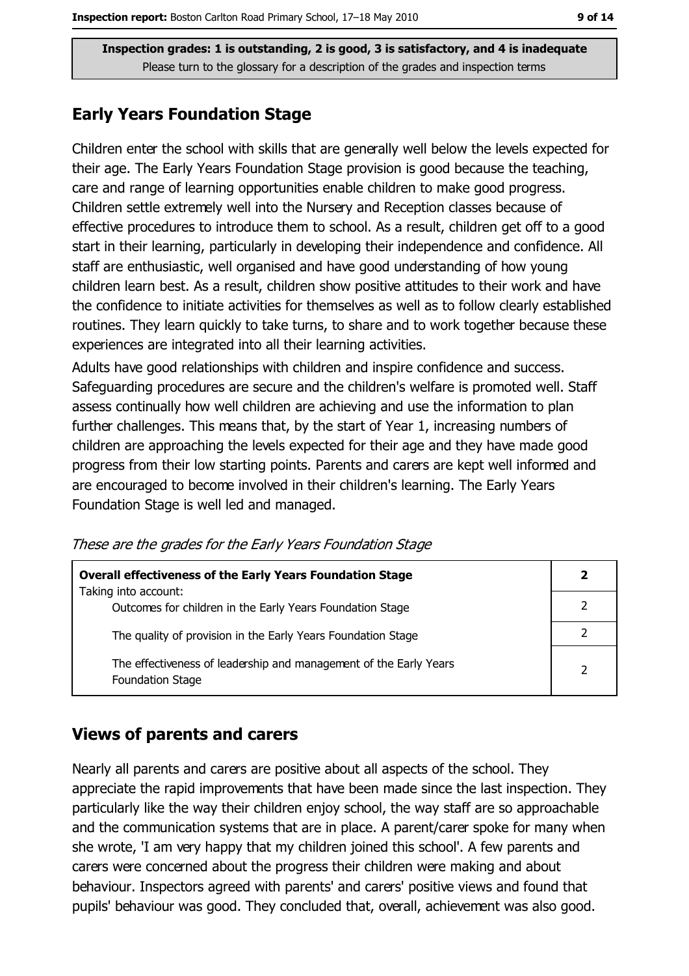#### **Early Years Foundation Stage**

Children enter the school with skills that are generally well below the levels expected for their age. The Early Years Foundation Stage provision is good because the teaching, care and range of learning opportunities enable children to make good progress. Children settle extremely well into the Nursery and Reception classes because of effective procedures to introduce them to school. As a result, children get off to a good start in their learning, particularly in developing their independence and confidence. All staff are enthusiastic, well organised and have good understanding of how young children learn best. As a result, children show positive attitudes to their work and have the confidence to initiate activities for themselves as well as to follow clearly established routines. They learn quickly to take turns, to share and to work together because these experiences are integrated into all their learning activities.

Adults have good relationships with children and inspire confidence and success. Safeguarding procedures are secure and the children's welfare is promoted well. Staff assess continually how well children are achieving and use the information to plan further challenges. This means that, by the start of Year 1, increasing numbers of children are approaching the levels expected for their age and they have made good progress from their low starting points. Parents and carers are kept well informed and are encouraged to become involved in their children's learning. The Early Years Foundation Stage is well led and managed.

These are the grades for the Early Years Foundation Stage

| <b>Overall effectiveness of the Early Years Foundation Stage</b>                             | $\mathbf{2}$ |
|----------------------------------------------------------------------------------------------|--------------|
| Taking into account:<br>Outcomes for children in the Early Years Foundation Stage            |              |
|                                                                                              |              |
| The quality of provision in the Early Years Foundation Stage                                 |              |
| The effectiveness of leadership and management of the Early Years<br><b>Foundation Stage</b> |              |

#### **Views of parents and carers**

Nearly all parents and carers are positive about all aspects of the school. They appreciate the rapid improvements that have been made since the last inspection. They particularly like the way their children enjoy school, the way staff are so approachable and the communication systems that are in place. A parent/carer spoke for many when she wrote, 'I am very happy that my children joined this school'. A few parents and carers were concerned about the progress their children were making and about behaviour. Inspectors agreed with parents' and carers' positive views and found that pupils' behaviour was good. They concluded that, overall, achievement was also good.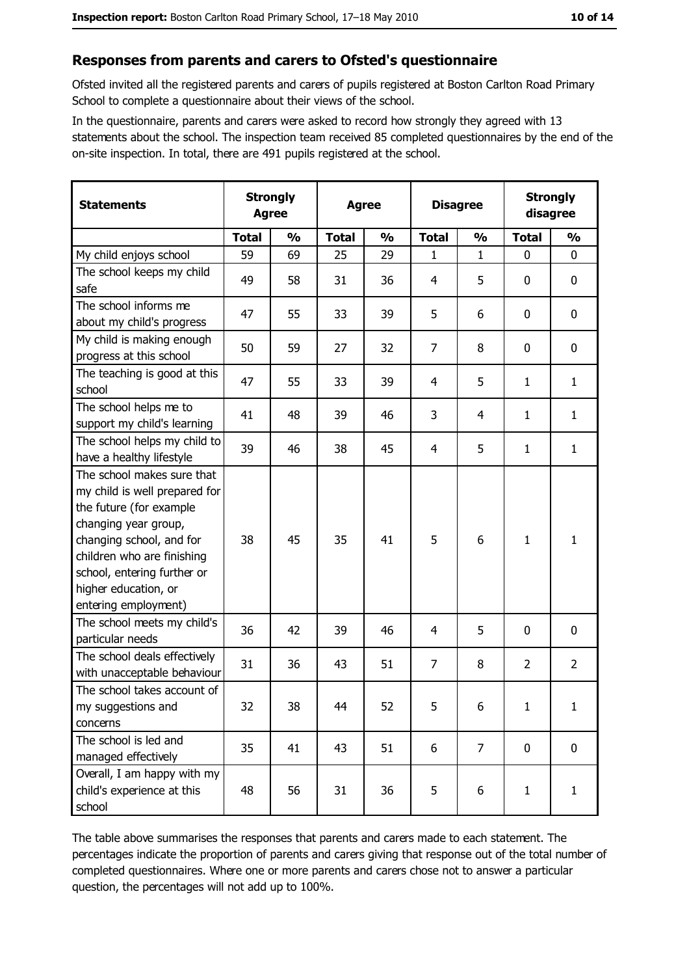#### Responses from parents and carers to Ofsted's questionnaire

Ofsted invited all the registered parents and carers of pupils registered at Boston Carlton Road Primary School to complete a questionnaire about their views of the school.

In the questionnaire, parents and carers were asked to record how strongly they agreed with 13 statements about the school. The inspection team received 85 completed questionnaires by the end of the on-site inspection. In total, there are 491 pupils registered at the school.

| <b>Statements</b>                                                                                                                                                                                                                                       | <b>Strongly</b><br><b>Agree</b> |               | <b>Agree</b> |               | <b>Disagree</b> |                | <b>Strongly</b><br>disagree |                |
|---------------------------------------------------------------------------------------------------------------------------------------------------------------------------------------------------------------------------------------------------------|---------------------------------|---------------|--------------|---------------|-----------------|----------------|-----------------------------|----------------|
|                                                                                                                                                                                                                                                         | <b>Total</b>                    | $\frac{0}{0}$ | <b>Total</b> | $\frac{0}{0}$ | <b>Total</b>    | $\frac{1}{2}$  | <b>Total</b>                | $\frac{0}{0}$  |
| My child enjoys school                                                                                                                                                                                                                                  | 59                              | 69            | 25           | 29            | $\mathbf{1}$    | $\mathbf{1}$   | $\mathbf{0}$                | $\mathbf{0}$   |
| The school keeps my child<br>safe                                                                                                                                                                                                                       | 49                              | 58            | 31           | 36            | 4               | 5              | 0                           | $\mathbf 0$    |
| The school informs me<br>about my child's progress                                                                                                                                                                                                      | 47                              | 55            | 33           | 39            | 5               | 6              | 0                           | 0              |
| My child is making enough<br>progress at this school                                                                                                                                                                                                    | 50                              | 59            | 27           | 32            | $\overline{7}$  | 8              | 0                           | $\mathbf 0$    |
| The teaching is good at this<br>school                                                                                                                                                                                                                  | 47                              | 55            | 33           | 39            | 4               | 5              | 1                           | $\mathbf{1}$   |
| The school helps me to<br>support my child's learning                                                                                                                                                                                                   | 41                              | 48            | 39           | 46            | 3               | 4              | 1                           | $\mathbf{1}$   |
| The school helps my child to<br>have a healthy lifestyle                                                                                                                                                                                                | 39                              | 46            | 38           | 45            | 4               | 5              | 1                           | $\mathbf{1}$   |
| The school makes sure that<br>my child is well prepared for<br>the future (for example<br>changing year group,<br>changing school, and for<br>children who are finishing<br>school, entering further or<br>higher education, or<br>entering employment) | 38                              | 45            | 35           | 41            | 5               | 6              | $\mathbf{1}$                | $\mathbf{1}$   |
| The school meets my child's<br>particular needs                                                                                                                                                                                                         | 36                              | 42            | 39           | 46            | 4               | 5              | 0                           | $\mathbf 0$    |
| The school deals effectively<br>with unacceptable behaviour                                                                                                                                                                                             | 31                              | 36            | 43           | 51            | $\overline{7}$  | 8              | $\overline{2}$              | $\overline{2}$ |
| The school takes account of<br>my suggestions and<br>concerns                                                                                                                                                                                           | 32                              | 38            | 44           | 52            | 5               | 6              | $\mathbf{1}$                | $\mathbf{1}$   |
| The school is led and<br>managed effectively                                                                                                                                                                                                            | 35                              | 41            | 43           | 51            | 6               | $\overline{7}$ | $\mathbf 0$                 | $\mathbf 0$    |
| Overall, I am happy with my<br>child's experience at this<br>school                                                                                                                                                                                     | 48                              | 56            | 31           | 36            | 5               | 6              | $\mathbf{1}$                | $\mathbf{1}$   |

The table above summarises the responses that parents and carers made to each statement. The percentages indicate the proportion of parents and carers giving that response out of the total number of completed questionnaires. Where one or more parents and carers chose not to answer a particular question, the percentages will not add up to 100%.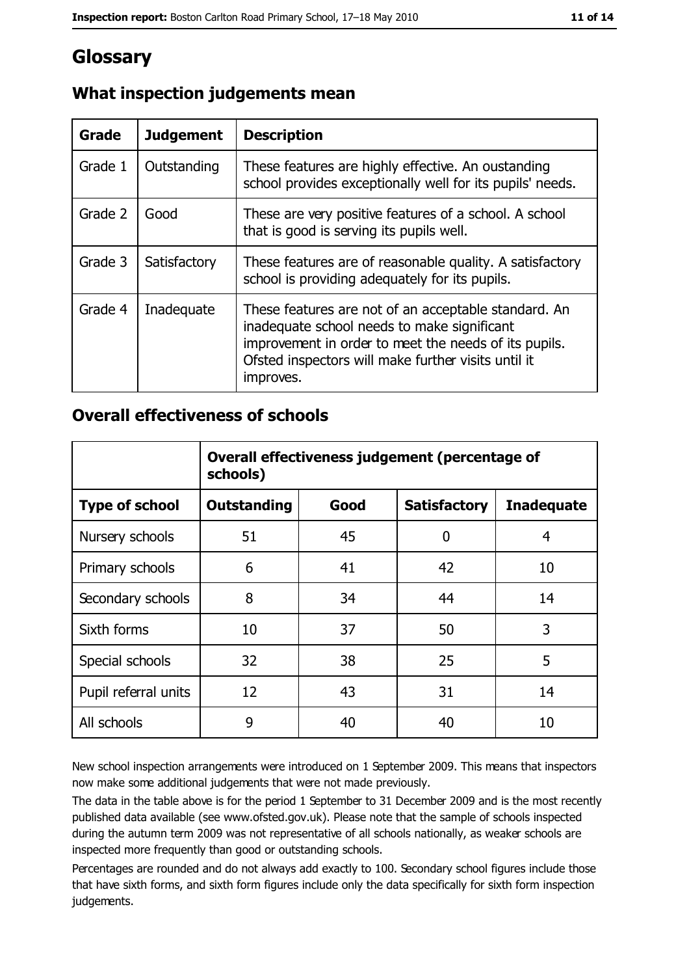## Glossary

| Grade   | <b>Judgement</b> | <b>Description</b>                                                                                                                                                                                                               |  |
|---------|------------------|----------------------------------------------------------------------------------------------------------------------------------------------------------------------------------------------------------------------------------|--|
| Grade 1 | Outstanding      | These features are highly effective. An oustanding<br>school provides exceptionally well for its pupils' needs.                                                                                                                  |  |
| Grade 2 | Good             | These are very positive features of a school. A school<br>that is good is serving its pupils well.                                                                                                                               |  |
| Grade 3 | Satisfactory     | These features are of reasonable quality. A satisfactory<br>school is providing adequately for its pupils.                                                                                                                       |  |
| Grade 4 | Inadequate       | These features are not of an acceptable standard. An<br>inadequate school needs to make significant<br>improvement in order to meet the needs of its pupils.<br>Ofsted inspectors will make further visits until it<br>improves. |  |

### What inspection judgements mean

#### **Overall effectiveness of schools**

|                       | Overall effectiveness judgement (percentage of<br>schools) |      |                     |                   |
|-----------------------|------------------------------------------------------------|------|---------------------|-------------------|
| <b>Type of school</b> | <b>Outstanding</b>                                         | Good | <b>Satisfactory</b> | <b>Inadequate</b> |
| Nursery schools       | 51                                                         | 45   | 0                   | 4                 |
| Primary schools       | 6                                                          | 41   | 42                  | 10                |
| Secondary schools     | 8                                                          | 34   | 44                  | 14                |
| Sixth forms           | 10                                                         | 37   | 50                  | 3                 |
| Special schools       | 32                                                         | 38   | 25                  | 5                 |
| Pupil referral units  | 12                                                         | 43   | 31                  | 14                |
| All schools           | 9                                                          | 40   | 40                  | 10                |

New school inspection arrangements were introduced on 1 September 2009. This means that inspectors now make some additional judgements that were not made previously.

The data in the table above is for the period 1 September to 31 December 2009 and is the most recently published data available (see www.ofsted.gov.uk). Please note that the sample of schools inspected during the autumn term 2009 was not representative of all schools nationally, as weaker schools are inspected more frequently than good or outstanding schools.

Percentages are rounded and do not always add exactly to 100. Secondary school figures include those that have sixth forms, and sixth form figures include only the data specifically for sixth form inspection judgements.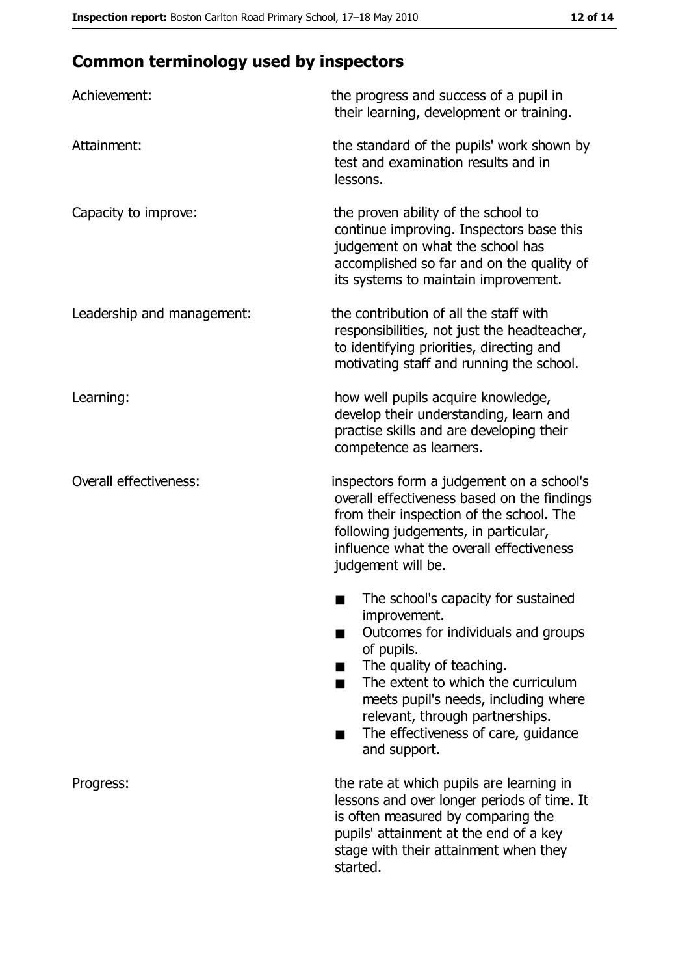## **Common terminology used by inspectors**

| Achievement:               | the progress and success of a pupil in<br>their learning, development or training.                                                                                                                                                                                                                                |
|----------------------------|-------------------------------------------------------------------------------------------------------------------------------------------------------------------------------------------------------------------------------------------------------------------------------------------------------------------|
| Attainment:                | the standard of the pupils' work shown by<br>test and examination results and in<br>lessons.                                                                                                                                                                                                                      |
| Capacity to improve:       | the proven ability of the school to<br>continue improving. Inspectors base this<br>judgement on what the school has<br>accomplished so far and on the quality of<br>its systems to maintain improvement.                                                                                                          |
| Leadership and management: | the contribution of all the staff with<br>responsibilities, not just the headteacher,<br>to identifying priorities, directing and<br>motivating staff and running the school.                                                                                                                                     |
| Learning:                  | how well pupils acquire knowledge,<br>develop their understanding, learn and<br>practise skills and are developing their<br>competence as learners.                                                                                                                                                               |
| Overall effectiveness:     | inspectors form a judgement on a school's<br>overall effectiveness based on the findings<br>from their inspection of the school. The<br>following judgements, in particular,<br>influence what the overall effectiveness<br>judgement will be.                                                                    |
|                            | The school's capacity for sustained<br>improvement.<br>Outcomes for individuals and groups<br>of pupils.<br>The quality of teaching.<br>The extent to which the curriculum<br>meets pupil's needs, including where<br>relevant, through partnerships.<br>The effectiveness of care, guidance<br>٠<br>and support. |
| Progress:                  | the rate at which pupils are learning in<br>lessons and over longer periods of time. It<br>is often measured by comparing the<br>pupils' attainment at the end of a key<br>stage with their attainment when they<br>started.                                                                                      |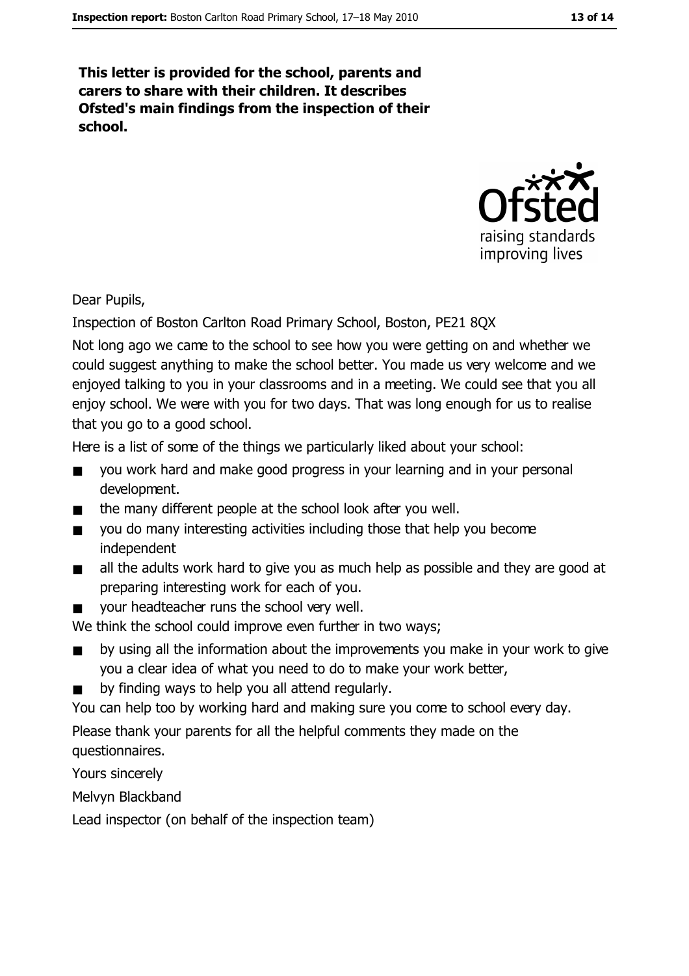This letter is provided for the school, parents and carers to share with their children. It describes Ofsted's main findings from the inspection of their school.



Dear Pupils,

Inspection of Boston Carlton Road Primary School, Boston, PE21 8QX

Not long ago we came to the school to see how you were getting on and whether we could suggest anything to make the school better. You made us very welcome and we enjoyed talking to you in your classrooms and in a meeting. We could see that you all enjoy school. We were with you for two days. That was long enough for us to realise that you go to a good school.

Here is a list of some of the things we particularly liked about your school:

- you work hard and make good progress in your learning and in your personal  $\blacksquare$ development.
- the many different people at the school look after you well.  $\blacksquare$
- you do many interesting activities including those that help you become  $\blacksquare$ independent
- all the adults work hard to give you as much help as possible and they are good at  $\blacksquare$ preparing interesting work for each of you.
- your headteacher runs the school very well.

We think the school could improve even further in two ways;

- by using all the information about the improvements you make in your work to give  $\blacksquare$ you a clear idea of what you need to do to make your work better,
- by finding ways to help you all attend regularly.

You can help too by working hard and making sure you come to school every day.

Please thank your parents for all the helpful comments they made on the questionnaires.

Yours sincerely

Melvvn Blackband

Lead inspector (on behalf of the inspection team)